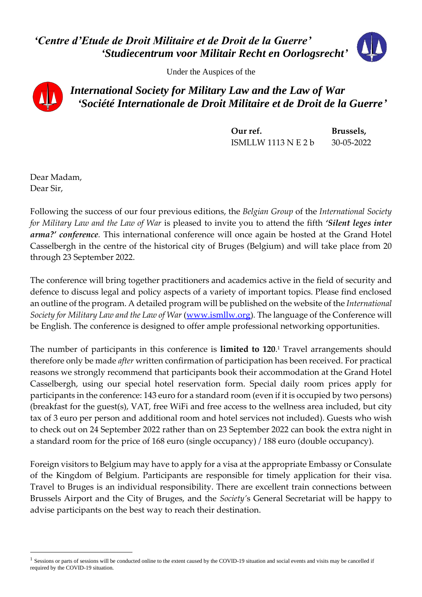*'Centre d'Etude de Droit Militaire et de Droit de la Guerre' 'Studiecentrum voor Militair Recht en Oorlogsrecht'*

Under the Auspices of the



*International Society for Military Law and the Law of War 'Société Internationale de Droit Militaire et de Droit de la Guerre'*

> **Our ref. Brussels,** ISMLLW 1113 N E 2 b 30-05-2022

Dear Madam, Dear Sir,

Following the success of our four previous editions, the *Belgian Group* of the *International Society for Military Law and the Law of War* is pleased to invite you to attend the fifth *'Silent leges inter arma?' conference.* This international conference will once again be hosted at the Grand Hotel Casselbergh in the centre of the historical city of Bruges (Belgium) and will take place from 20 through 23 September 2022.

The conference will bring together practitioners and academics active in the field of security and defence to discuss legal and policy aspects of a variety of important topics. Please find enclosed an outline of the program. A detailed program will be published on the website of the *International Society for Military Law and the Law of War* [\(www.ismllw.org\)](http://www.ismllw.org/)*.* The language of the Conference will be English. The conference is designed to offer ample professional networking opportunities.

The number of participants in this conference is **limited to 120**. <sup>1</sup> Travel arrangements should therefore only be made *after* written confirmation of participation has been received. For practical reasons we strongly recommend that participants book their accommodation at the Grand Hotel Casselbergh, using our special hotel reservation form. Special daily room prices apply for participants in the conference: 143 euro for a standard room (even if it is occupied by two persons) (breakfast for the guest(s), VAT, free WiFi and free access to the wellness area included, but city tax of 3 euro per person and additional room and hotel services not included). Guests who wish to check out on 24 September 2022 rather than on 23 September 2022 can book the extra night in a standard room for the price of 168 euro (single occupancy) / 188 euro (double occupancy).

Foreign visitors to Belgium may have to apply for a visa at the appropriate Embassy or Consulate of the Kingdom of Belgium. Participants are responsible for timely application for their visa. Travel to Bruges is an individual responsibility. There are excellent train connections between Brussels Airport and the City of Bruges, and the *Society'*s General Secretariat will be happy to advise participants on the best way to reach their destination.

<sup>&</sup>lt;sup>1</sup> Sessions or parts of sessions will be conducted online to the extent caused by the COVID-19 situation and social events and visits may be cancelled if required by the COVID-19 situation.